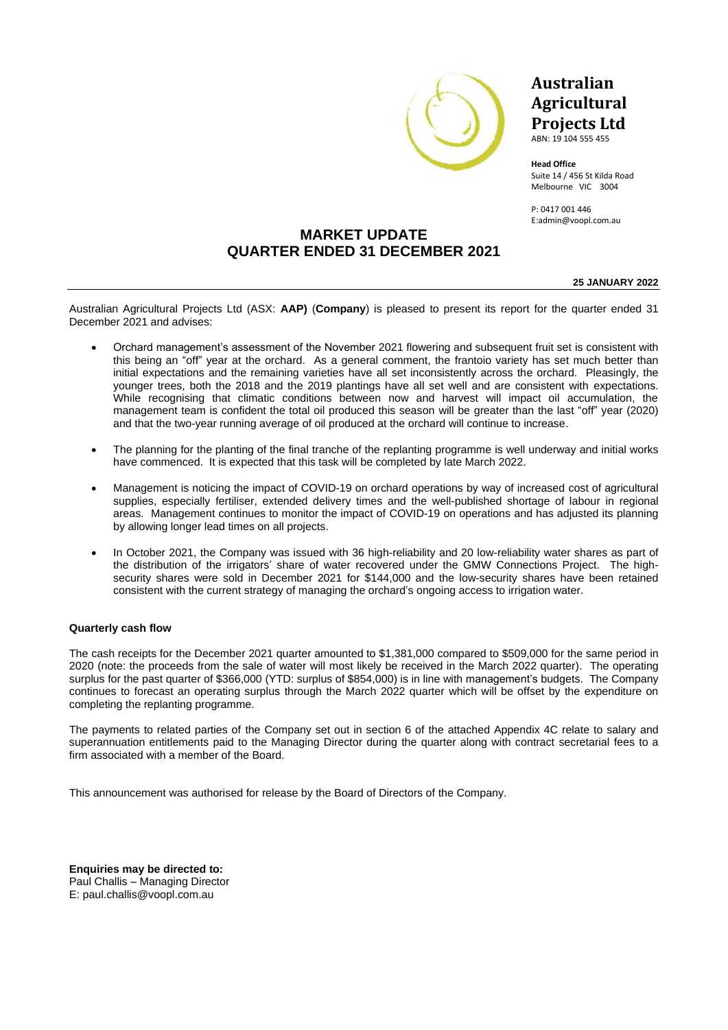

### **Australian Agricultural Projects Ltd**

ABN: 19 104 555 455

**Head Office** Suite 14 / 456 St Kilda Road Melbourne VIC 3004

P: 0417 001 446 E:admin@voopl.com.au

### **MARKET UPDATE QUARTER ENDED 31 DECEMBER 2021**

**25 JANUARY 2022**

Australian Agricultural Projects Ltd (ASX: **AAP)** (**Company**) is pleased to present its report for the quarter ended 31 December 2021 and advises:

- Orchard management's assessment of the November 2021 flowering and subsequent fruit set is consistent with this being an "off" year at the orchard. As a general comment, the frantoio variety has set much better than initial expectations and the remaining varieties have all set inconsistently across the orchard. Pleasingly, the younger trees, both the 2018 and the 2019 plantings have all set well and are consistent with expectations. While recognising that climatic conditions between now and harvest will impact oil accumulation, the management team is confident the total oil produced this season will be greater than the last "off" year (2020) and that the two-year running average of oil produced at the orchard will continue to increase.
- The planning for the planting of the final tranche of the replanting programme is well underway and initial works have commenced. It is expected that this task will be completed by late March 2022.
- Management is noticing the impact of COVID-19 on orchard operations by way of increased cost of agricultural supplies, especially fertiliser, extended delivery times and the well-published shortage of labour in regional areas. Management continues to monitor the impact of COVID-19 on operations and has adjusted its planning by allowing longer lead times on all projects.
- In October 2021, the Company was issued with 36 high-reliability and 20 low-reliability water shares as part of the distribution of the irrigators' share of water recovered under the GMW Connections Project. The highsecurity shares were sold in December 2021 for \$144,000 and the low-security shares have been retained consistent with the current strategy of managing the orchard's ongoing access to irrigation water.

#### **Quarterly cash flow**

The cash receipts for the December 2021 quarter amounted to \$1,381,000 compared to \$509,000 for the same period in 2020 (note: the proceeds from the sale of water will most likely be received in the March 2022 quarter). The operating surplus for the past quarter of \$366,000 (YTD: surplus of \$854,000) is in line with management's budgets. The Company continues to forecast an operating surplus through the March 2022 quarter which will be offset by the expenditure on completing the replanting programme.

The payments to related parties of the Company set out in section 6 of the attached Appendix 4C relate to salary and superannuation entitlements paid to the Managing Director during the quarter along with contract secretarial fees to a firm associated with a member of the Board.

This announcement was authorised for release by the Board of Directors of the Company.

**Enquiries may be directed to:** Paul Challis – Managing Director E: paul.challis@voopl.com.au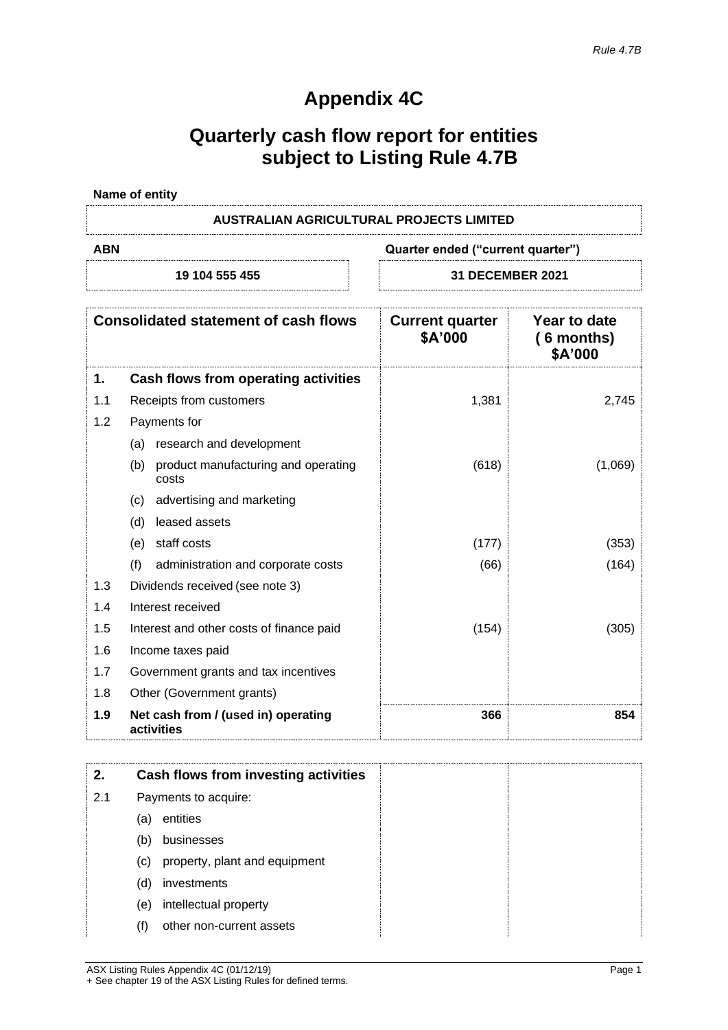# **Appendix 4C**

# **Quarterly cash flow report for entities subject to Listing Rule 4.7B**

| Name of entity |                                          |
|----------------|------------------------------------------|
|                | AUSTRALIAN AGRICULTURAL PROJECTS LIMITED |
| ABN            | Quarter ended ("current quarter")        |
| 19 104 555 455 | <b>31 DECEMBER 2021</b>                  |

|     | <b>Consolidated statement of cash flows</b>         | <b>Current quarter</b><br>\$A'000 | Year to date<br>$(6$ months)<br>\$A'000 |
|-----|-----------------------------------------------------|-----------------------------------|-----------------------------------------|
| 1.  | Cash flows from operating activities                |                                   |                                         |
| 1.1 | Receipts from customers                             | 1,381                             | 2,745                                   |
| 1.2 | Payments for                                        |                                   |                                         |
|     | research and development<br>(a)                     |                                   |                                         |
|     | (b)<br>product manufacturing and operating<br>costs | (618)                             | (1,069)                                 |
|     | advertising and marketing<br>(c)                    |                                   |                                         |
|     | leased assets<br>(d)                                |                                   |                                         |
|     | (e) staff costs                                     | (177)                             | (353)                                   |
|     | (f)<br>administration and corporate costs           | (66)                              | (164)                                   |
| 1.3 | Dividends received (see note 3)                     |                                   |                                         |
| 1.4 | Interest received                                   |                                   |                                         |
| 1.5 | Interest and other costs of finance paid            | (154)                             | (305)                                   |
| 1.6 | Income taxes paid                                   |                                   |                                         |
| 1.7 | Government grants and tax incentives                |                                   |                                         |
| 1.8 | Other (Government grants)                           |                                   |                                         |
| 1.9 | Net cash from / (used in) operating<br>activities   | 366                               | 854                                     |

| 2.  |                            | Cash flows from investing activities |
|-----|----------------------------|--------------------------------------|
| 2.1 |                            | Payments to acquire:                 |
|     | (a)                        | entities                             |
|     | (b)                        | businesses                           |
|     | $\left( \mathrm{c}\right)$ | property, plant and equipment        |
|     | (d)                        | investments                          |
|     | (e)                        | intellectual property                |
|     | (f)                        | other non-current assets             |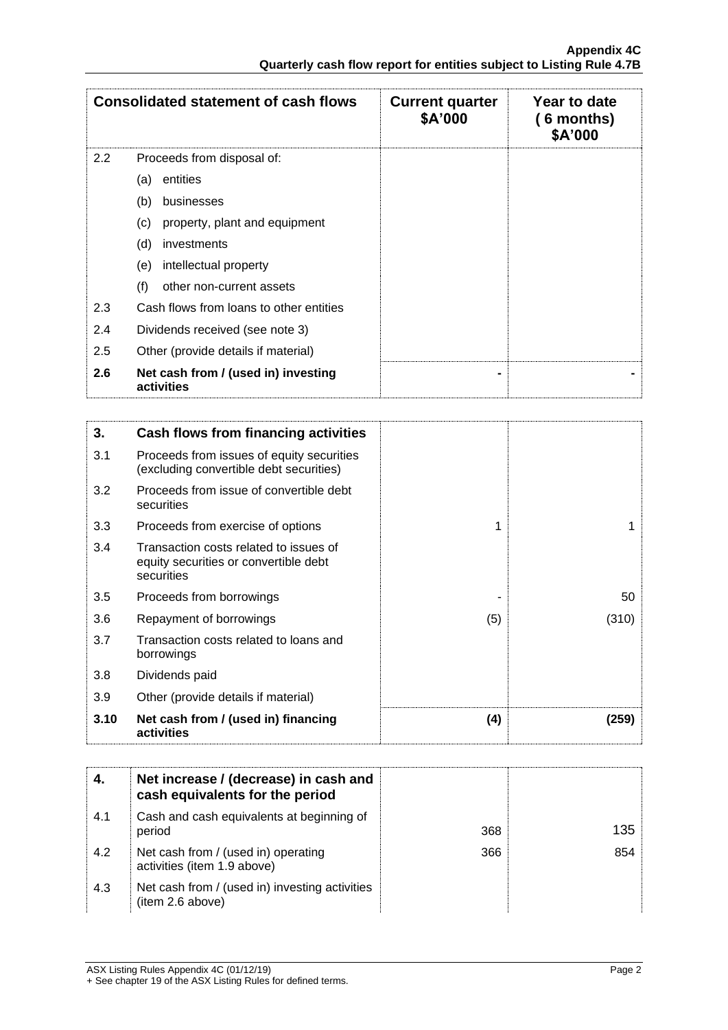|                  | <b>Consolidated statement of cash flows</b>       | <b>Current quarter</b><br>\$A'000 | Year to date<br>(6 months)<br>\$A'000 |
|------------------|---------------------------------------------------|-----------------------------------|---------------------------------------|
| $2.2\phantom{0}$ | Proceeds from disposal of:                        |                                   |                                       |
|                  | entities<br>(a)                                   |                                   |                                       |
|                  | (b)<br>businesses                                 |                                   |                                       |
|                  | property, plant and equipment<br>(c)              |                                   |                                       |
|                  | (d)<br>investments                                |                                   |                                       |
|                  | intellectual property<br>(e)                      |                                   |                                       |
|                  | (f)<br>other non-current assets                   |                                   |                                       |
| 2.3              | Cash flows from loans to other entities           |                                   |                                       |
| 2.4              | Dividends received (see note 3)                   |                                   |                                       |
| 2.5              | Other (provide details if material)               |                                   |                                       |
| 2.6              | Net cash from / (used in) investing<br>activities |                                   |                                       |

| 3.   | Cash flows from financing activities                                                          |     |       |
|------|-----------------------------------------------------------------------------------------------|-----|-------|
| 3.1  | Proceeds from issues of equity securities<br>(excluding convertible debt securities)          |     |       |
| 3.2  | Proceeds from issue of convertible debt<br>securities                                         |     |       |
| 3.3  | Proceeds from exercise of options                                                             | 1   |       |
| 3.4  | Transaction costs related to issues of<br>equity securities or convertible debt<br>securities |     |       |
| 3.5  | Proceeds from borrowings                                                                      |     | 50    |
| 3.6  | Repayment of borrowings                                                                       | (5) | (310) |
| 3.7  | Transaction costs related to loans and<br>borrowings                                          |     |       |
| 3.8  | Dividends paid                                                                                |     |       |
| 3.9  | Other (provide details if material)                                                           |     |       |
| 3.10 | Net cash from / (used in) financing<br>activities                                             | (4) | (259) |

|     | Net increase / (decrease) in cash and<br>cash equivalents for the period |     |     |
|-----|--------------------------------------------------------------------------|-----|-----|
| 4.1 | Cash and cash equivalents at beginning of<br>period                      | 368 | 135 |
| 4.2 | Net cash from / (used in) operating<br>activities (item 1.9 above)       | 366 | 854 |
| 4.3 | Net cash from / (used in) investing activities<br>(item 2.6 above)       |     |     |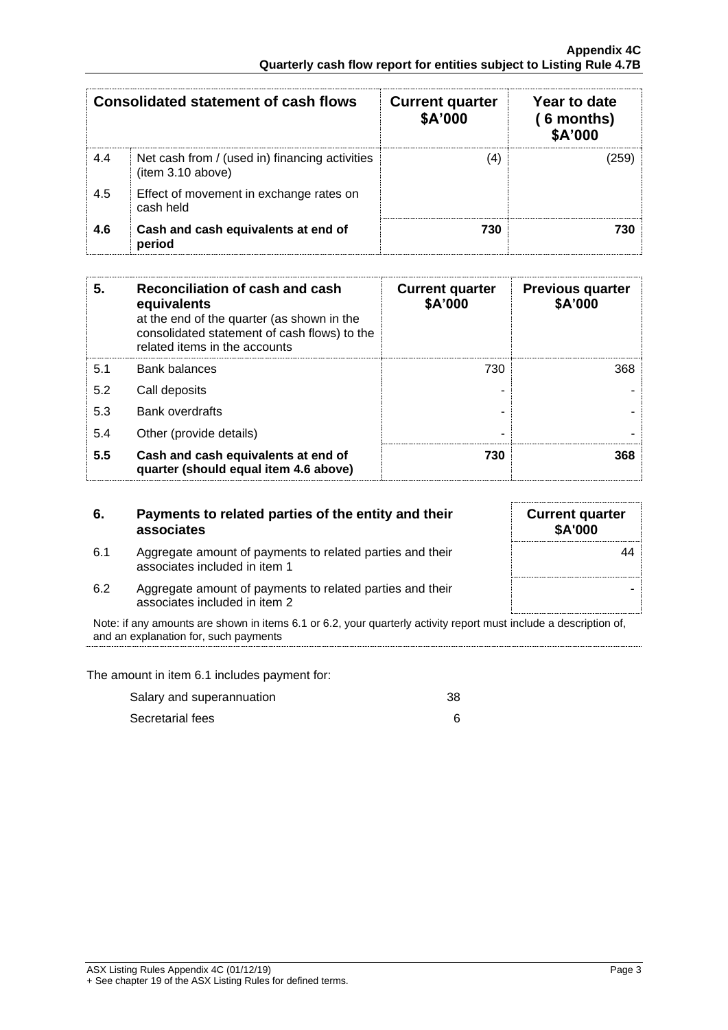|     | <b>Consolidated statement of cash flows</b>                         | <b>Current quarter</b><br>\$A'000 | Year to date<br>( 6 months)<br>\$A'000 |
|-----|---------------------------------------------------------------------|-----------------------------------|----------------------------------------|
| 4.4 | Net cash from / (used in) financing activities<br>(item 3.10 above) | (4)                               |                                        |
| 4.5 | Effect of movement in exchange rates on<br>cash held                |                                   |                                        |
| 4.6 | Cash and cash equivalents at end of<br>period                       | 730                               |                                        |

| 5.  | Reconciliation of cash and cash<br>equivalents<br>at the end of the quarter (as shown in the<br>consolidated statement of cash flows) to the<br>related items in the accounts | <b>Current quarter</b><br>\$A'000 | <b>Previous quarter</b><br>\$A'000 |
|-----|-------------------------------------------------------------------------------------------------------------------------------------------------------------------------------|-----------------------------------|------------------------------------|
| 5.1 | <b>Bank balances</b>                                                                                                                                                          | 730                               | 368                                |
| 5.2 | Call deposits                                                                                                                                                                 |                                   |                                    |
| 5.3 | <b>Bank overdrafts</b>                                                                                                                                                        |                                   |                                    |
| 5.4 | Other (provide details)                                                                                                                                                       | -                                 |                                    |
| 5.5 | Cash and cash equivalents at end of<br>quarter (should equal item 4.6 above)                                                                                                  | 730                               | 368                                |

|     | Payments to related parties of the entity and their<br>associates                                                                                          | <b>Current quarter</b><br><b>\$A'000</b> |
|-----|------------------------------------------------------------------------------------------------------------------------------------------------------------|------------------------------------------|
| 6.1 | Aggregate amount of payments to related parties and their<br>associates included in item 1                                                                 |                                          |
| 6.2 | Aggregate amount of payments to related parties and their<br>associates included in item 2                                                                 |                                          |
|     | Note: if any amounts are shown in items 6.1 or 6.2, your quarterly activity report must include a description of,<br>and an explanation for, such payments |                                          |

The amount in item 6.1 includes payment for:

| Salary and superannuation | 38 |
|---------------------------|----|
| Secretarial fees          |    |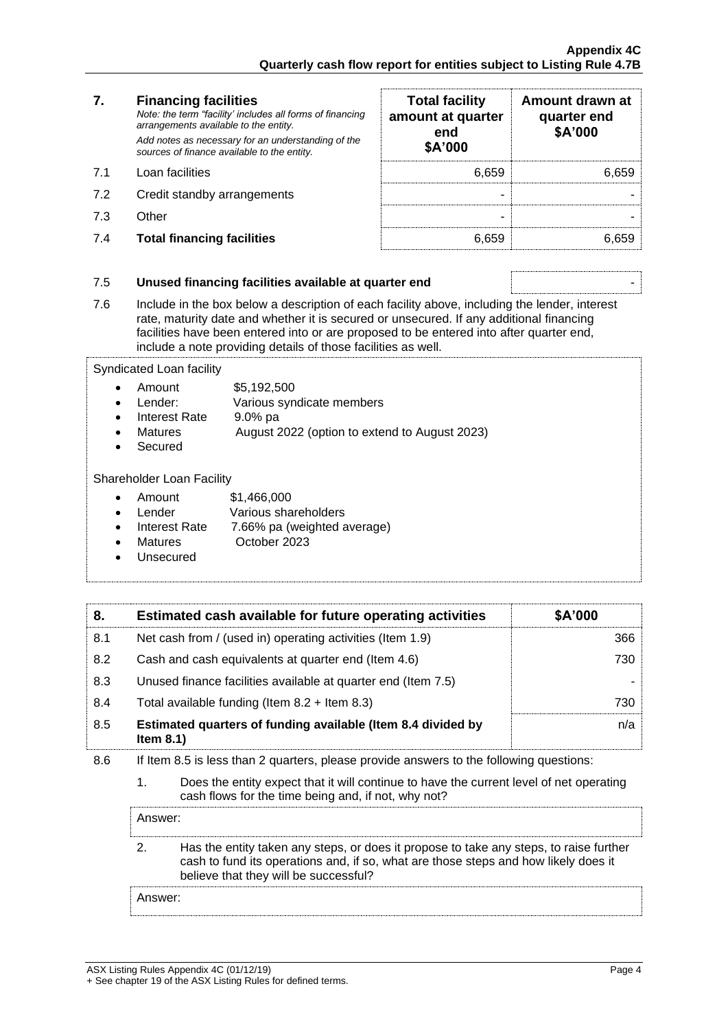### **7. Financing facilities** *Note: the term "facility' includes all forms of financing arrangements available to the entity. Add notes as necessary for an understanding of the sources of finance available to the entity.*

- 7.1 Loan facilities
- 7.2 Credit standby arrangements
- 
- 7.4 **Total financing facilities** 6,659 6,659

| 7.  | <b>Financing facilities</b><br>Note: the term "facility' includes all forms of financing<br>arrangements available to the entity.<br>Add notes as necessary for an understanding of the | <b>Total facility</b><br>amount at quarter<br>end | Amount drawn at<br>quarter end<br>\$A'000 |
|-----|-----------------------------------------------------------------------------------------------------------------------------------------------------------------------------------------|---------------------------------------------------|-------------------------------------------|
|     | sources of finance available to the entity.                                                                                                                                             | \$A'000                                           |                                           |
| 71  | Loan facilities                                                                                                                                                                         | 6.659                                             | 6.659                                     |
| 7.2 | Credit standby arrangements                                                                                                                                                             |                                                   |                                           |
| 7.3 | Other                                                                                                                                                                                   |                                                   |                                           |
| 7.4 | <b>Total financing facilities</b>                                                                                                                                                       | 6.659                                             |                                           |

### 7.5 **Unused financing facilities available at quarter end** -

7.6 Include in the box below a description of each facility above, including the lender, interest rate, maturity date and whether it is secured or unsecured. If any additional financing facilities have been entered into or are proposed to be entered into after quarter end, include a note providing details of those facilities as well.

Syndicated Loan facility

- Amount \$5,192,500
- Lender: Various syndicate members
- Interest Rate 9.0% pa
- Matures **August 2022** (option to extend to August 2023)
- **Secured**

Shareholder Loan Facility

- Amount \$1,466,000
- Lender **Various shareholders**
- Interest Rate 7.66% pa (weighted average)
- Matures **October 2023**
- **Unsecured**

| 8.  | Estimated cash available for future operating activities                     | \$A'000 |
|-----|------------------------------------------------------------------------------|---------|
| 8.1 | Net cash from / (used in) operating activities (Item 1.9)                    | 366     |
| 8.2 | Cash and cash equivalents at quarter end (Item 4.6)                          | 730     |
| 8.3 | Unused finance facilities available at quarter end (Item 7.5)                |         |
| 8.4 | Total available funding (Item $8.2 +$ Item $8.3$ )                           | 730     |
| 8.5 | Estimated quarters of funding available (Item 8.4 divided by<br>Item $8.1$ ) | n/a     |

- 8.6 If Item 8.5 is less than 2 quarters, please provide answers to the following questions:
	- 1. Does the entity expect that it will continue to have the current level of net operating cash flows for the time being and, if not, why not?

Answer:

2. Has the entity taken any steps, or does it propose to take any steps, to raise further cash to fund its operations and, if so, what are those steps and how likely does it believe that they will be successful?

Answer: